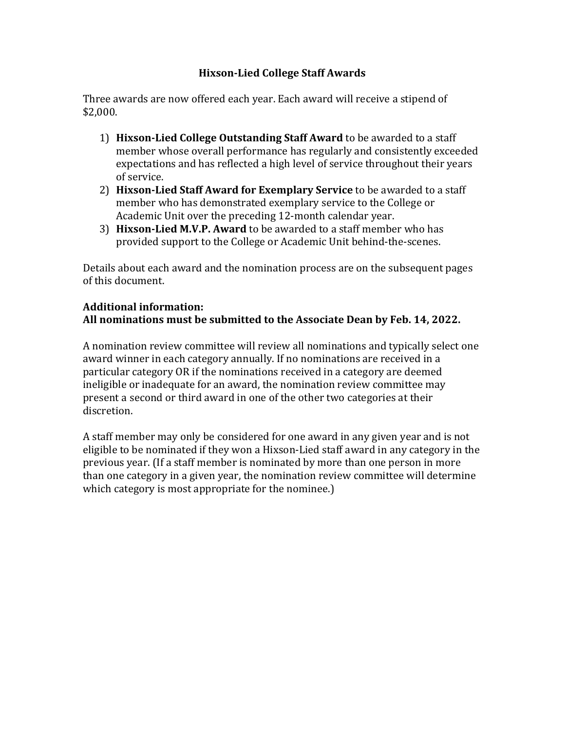# **Hixson-Lied College Staff Awards**

Three awards are now offered each year. Each award will receive a stipend of \$2,000.

- 1) **Hixson-Lied College Outstanding Staff Award** to be awarded to a staff member whose overall performance has regularly and consistently exceeded expectations and has reflected a high level of service throughout their years of service.
- 2) **Hixson-Lied Staff Award for Exemplary Service** to be awarded to a staff member who has demonstrated exemplary service to the College or Academic Unit over the preceding 12-month calendar year.
- 3) Hixson-Lied M.V.P. Award to be awarded to a staff member who has provided support to the College or Academic Unit behind-the-scenes.

Details about each award and the nomination process are on the subsequent pages of this document.

# Additional information:

# All nominations must be submitted to the Associate Dean by Feb. 14, 2022.

A nomination review committee will review all nominations and typically select one award winner in each category annually. If no nominations are received in a particular category OR if the nominations received in a category are deemed ineligible or inadequate for an award, the nomination review committee may present a second or third award in one of the other two categories at their discretion.

A staff member may only be considered for one award in any given year and is not eligible to be nominated if they won a Hixson-Lied staff award in any category in the previous year. (If a staff member is nominated by more than one person in more than one category in a given year, the nomination review committee will determine which category is most appropriate for the nominee.)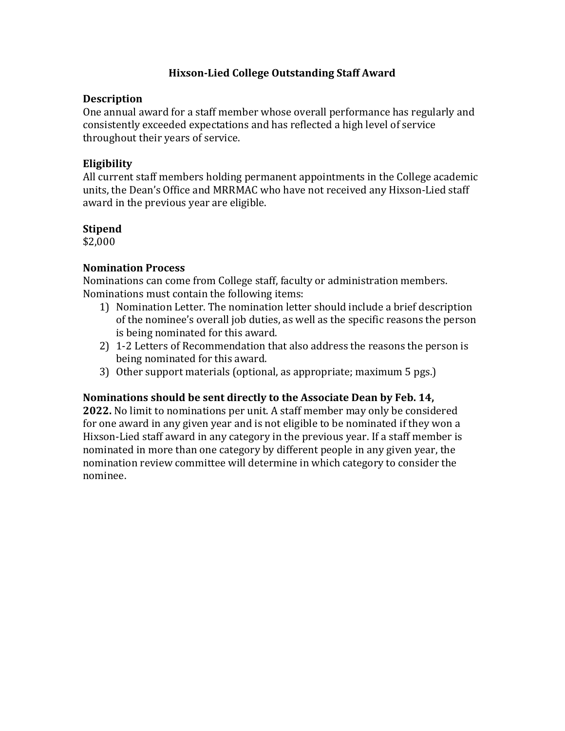# **Hixson-Lied College Outstanding Staff Award**

#### **Description**

One annual award for a staff member whose overall performance has regularly and consistently exceeded expectations and has reflected a high level of service throughout their years of service.

# **Eligibility**

All current staff members holding permanent appointments in the College academic units, the Dean's Office and MRRMAC who have not received any Hixson-Lied staff award in the previous year are eligible.

# **Stipend**

\$2,000 

# **Nomination Process**

Nominations can come from College staff, faculty or administration members. Nominations must contain the following items:

- 1) Nomination Letter. The nomination letter should include a brief description of the nominee's overall job duties, as well as the specific reasons the person is being nominated for this award.
- 2) 1-2 Letters of Recommendation that also address the reasons the person is being nominated for this award.
- 3) Other support materials (optional, as appropriate; maximum 5 pgs.)

#### **Nominations should be sent directly to the Associate Dean by Feb. 14,**

**2022.** No limit to nominations per unit. A staff member may only be considered for one award in any given year and is not eligible to be nominated if they won a Hixson-Lied staff award in any category in the previous year. If a staff member is nominated in more than one category by different people in any given year, the nomination review committee will determine in which category to consider the nominee.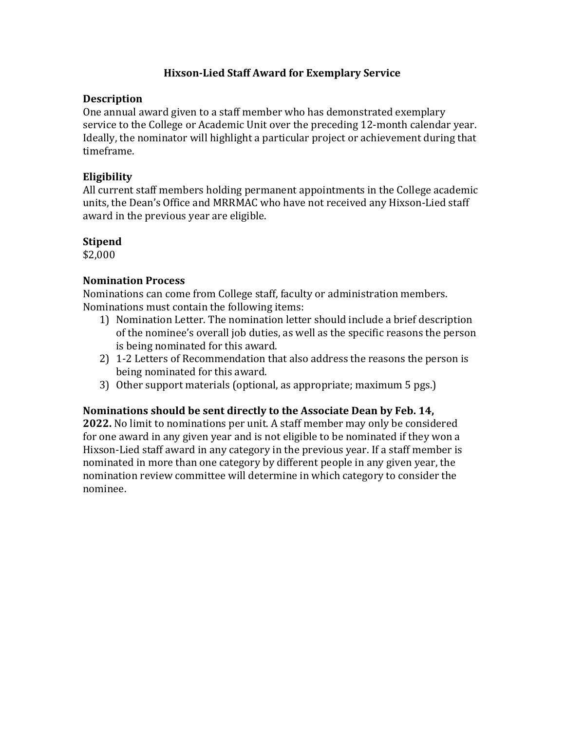# **Hixson-Lied Staff Award for Exemplary Service**

## **Description**

One annual award given to a staff member who has demonstrated exemplary service to the College or Academic Unit over the preceding 12-month calendar year. Ideally, the nominator will highlight a particular project or achievement during that timeframe. 

# **Eligibility**

All current staff members holding permanent appointments in the College academic units, the Dean's Office and MRRMAC who have not received any Hixson-Lied staff award in the previous year are eligible.

# **Stipend**

\$2,000

# **Nomination Process**

Nominations can come from College staff, faculty or administration members. Nominations must contain the following items:

- 1) Nomination Letter. The nomination letter should include a brief description of the nominee's overall job duties, as well as the specific reasons the person is being nominated for this award.
- 2) 1-2 Letters of Recommendation that also address the reasons the person is being nominated for this award.
- 3) Other support materials (optional, as appropriate; maximum 5 pgs.)

#### **Nominations should be sent directly to the Associate Dean by Feb. 14,**

**2022.** No limit to nominations per unit. A staff member may only be considered for one award in any given year and is not eligible to be nominated if they won a Hixson-Lied staff award in any category in the previous year. If a staff member is nominated in more than one category by different people in any given year, the nomination review committee will determine in which category to consider the nominee.